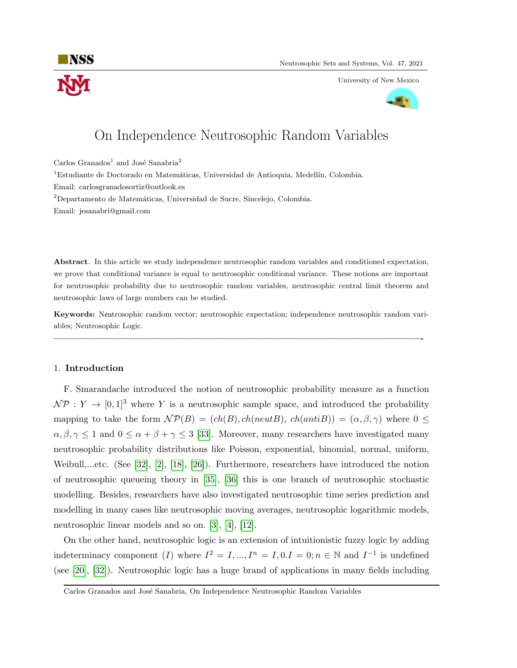University of New Mexico



# On Independence Neutrosophic Random Variables

Carlos Granados<sup>1</sup> and José Sanabria<sup>2</sup>

 ${}^{1}$ Estudiante de Doctorado en Matemáticas, Universidad de Antioquia, Medellín, Colombia.

Email: carlosgranadosortiz@outlook.es

<sup>2</sup>Departamento de Matemáticas, Universidad de Sucre, Sincelejo, Colombia.

Email: jesanabri@gmail.com

Abstract. In this article we study independence neutrosophic random variables and conditioned expectation, we prove that conditional variance is equal to neutrosophic conditional variance. These notions are important for neutrosophic probability due to neutrosophic random variables, neutrosophic central limit theorem and neutrosophic laws of large numbers can be studied.

Keywords: Neutrosophic random vector; neutrosophic expectation; independence neutrosophic random variables; Neutrosophic Logic.

—————————————————————————————————————————-

## 1. Introduction

F. Smarandache introduced the notion of neutrosophic probability measure as a function  $\mathcal{NP}: Y \to [0,1]^3$  where Y is a neutrosophic sample space, and introduced the probability mapping to take the form  $\mathcal{NP}(B) = (ch(B), ch(neutB), ch(antiB)) = (\alpha, \beta, \gamma)$  where  $0 \leq$  $\alpha, \beta, \gamma \leq 1$  and  $0 \leq \alpha + \beta + \gamma \leq 3$  [\[33\]](#page-16-0). Moreover, many researchers have investigated many neutrosophic probability distributions like Poisson, exponential, binomial, normal, uniform, Weibull,...etc. (See [\[32\]](#page-16-1), [\[2\]](#page-14-0), [\[18\]](#page-15-0), [\[26\]](#page-15-1)). Furthermore, researchers have introduced the notion of neutrosophic queueing theory in [\[35\]](#page-16-2), [\[36\]](#page-16-3) this is one branch of neutrosophic stochastic modelling. Besides, researchers have also investigated neutrosophic time series prediction and modelling in many cases like neutrosophic moving averages, neutrosophic logarithmic models, neutrosophic linear models and so on. [\[3\]](#page-14-1), [\[4\]](#page-14-2), [\[12\]](#page-15-2).

On the other hand, neutrosophic logic is an extension of intuitionistic fuzzy logic by adding indeterminacy component (I) where  $I^2 = I, ..., I^n = I, 0, I = 0; n \in \mathbb{N}$  and  $I^{-1}$  is undefined (see [\[20\]](#page-15-3), [\[32\]](#page-16-1)). Neutrosophic logic has a huge brand of applications in many fields including

Carlos Granados and José Sanabria, On Independence Neutrosophic Random Variables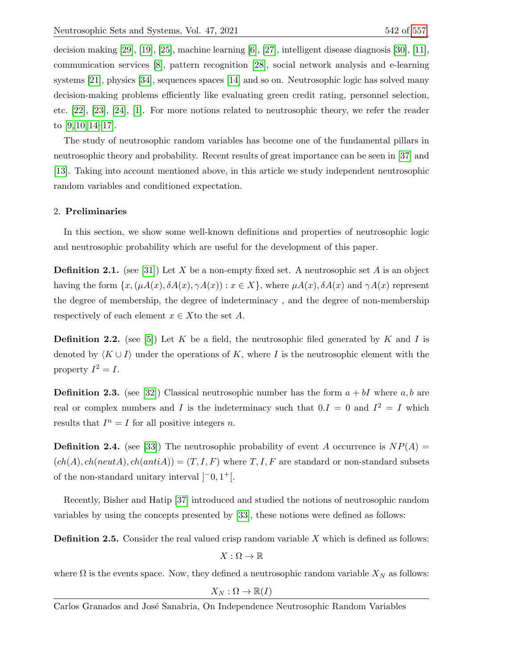decision making [\[29\]](#page-16-5), [\[19\]](#page-15-4), [\[25\]](#page-15-5), machine learning [\[6\]](#page-14-3), [\[27\]](#page-15-6), intelligent disease diagnosis [\[30\]](#page-16-6), [\[11\]](#page-15-7), communication services [\[8\]](#page-15-8), pattern recognition [\[28\]](#page-15-9), social network analysis and e-learning systems [\[21\]](#page-15-10), physics [\[34\]](#page-16-7), sequences spaces [\[14\]](#page-15-11) and so on. Neutrosophic logic has solved many decision-making problems efficiently like evaluating green credit rating, personnel selection, etc. [\[22\]](#page-15-12), [\[23\]](#page-15-13), [\[24\]](#page-15-14), [\[1\]](#page-14-4). For more notions related to neutrosophic theory, we refer the reader to [\[9,](#page-15-15) [10,](#page-15-16) [14](#page-15-11)[–17\]](#page-15-17).

The study of neutrosophic random variables has become one of the fundamental pillars in neutrosophic theory and probability. Recent results of great importance can be seen in [\[37\]](#page-14-5) and [\[13\]](#page-15-18). Taking into account mentioned above, in this article we study independent neutrosophic random variables and conditioned expectation.

# 2. Preliminaries

In this section, we show some well-known definitions and properties of neutrosophic logic and neutrosophic probability which are useful for the development of this paper.

**Definition 2.1.** (see [\[31\]](#page-16-8)) Let X be a non-empty fixed set. A neutrosophic set A is an object having the form  $\{x, (\mu A(x), \delta A(x), \gamma A(x)) : x \in X\}$ , where  $\mu A(x), \delta A(x)$  and  $\gamma A(x)$  represent the degree of membership, the degree of indeterminacy , and the degree of non-membership respectively of each element  $x \in X$  to the set A.

**Definition 2.2.** (see [\[5\]](#page-14-6)) Let K be a field, the neutrosophic filed generated by K and I is denoted by  $\langle K \cup I \rangle$  under the operations of K, where I is the neutrosophic element with the property  $I^2 = I$ .

**Definition 2.3.** (see [\[32\]](#page-16-1)) Classical neutrosophic number has the form  $a + bI$  where  $a, b$  are real or complex numbers and I is the indeterminacy such that  $0.I = 0$  and  $I^2 = I$  which results that  $I^n = I$  for all positive integers n.

**Definition 2.4.** (see [\[33\]](#page-16-0)) The neutrosophic probability of event A occurrence is  $NP(A)$  =  $(ch(A), ch(ncutA), ch(antiA)) = (T, I, F)$  where  $T, I, F$  are standard or non-standard subsets of the non-standard unitary interval  $[-0, 1^+]$ .

Recently, Bisher and Hatip [\[37\]](#page-14-5) introduced and studied the notions of neutrosophic random variables by using the concepts presented by [\[33\]](#page-16-0), these notions were defined as follows:

**Definition 2.5.** Consider the real valued crisp random variable X which is defined as follows:

$$
X:\Omega\to\mathbb{R}
$$

where  $\Omega$  is the events space. Now, they defined a neutrosophic random variable  $X_N$  as follows:

 $X_N : \Omega \to \mathbb{R}(I)$ 

Carlos Granados and José Sanabria, On Independence Neutrosophic Random Variables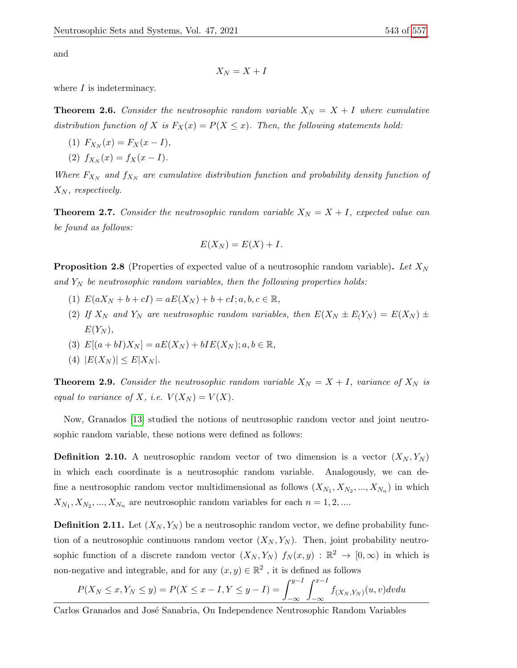and

$$
X_N=X+I
$$

where  $I$  is indeterminacy.

**Theorem 2.6.** Consider the neutrosophic random variable  $X_N = X + I$  where cumulative distribution function of X is  $F_X(x) = P(X \leq x)$ . Then, the following statements hold:

- (1)  $F_{X_N}(x) = F_X(x I),$
- (2)  $f_{X_N}(x) = f_X(x I).$

Where  $F_{X_N}$  and  $f_{X_N}$  are cumulative distribution function and probability density function of  $X_N$ , respectively.

**Theorem 2.7.** Consider the neutrosophic random variable  $X_N = X + I$ , expected value can be found as follows:

$$
E(X_N) = E(X) + I.
$$

**Proposition 2.8** (Properties of expected value of a neutrosophic random variable). Let  $X_N$ and  $Y_N$  be neutrosophic random variables, then the following properties holds:

- (1)  $E(aX_N + b + cI) = aE(X_N) + b + cI; a, b, c \in \mathbb{R},$
- (2) If  $X_N$  and  $Y_N$  are neutrosophic random variables, then  $E(X_N \pm E(Y_N) = E(X_N) \pm E(Y_N)$  $E(Y_N),$
- (3)  $E[(a + bI)X_N] = aE(X_N) + bIE(X_N); a, b \in \mathbb{R},$
- (4)  $|E(X_N)| \leq E|X_N|$ .

**Theorem 2.9.** Consider the neutrosophic random variable  $X_N = X + I$ , variance of  $X_N$  is equal to variance of X, i.e.  $V(X_N) = V(X)$ .

Now, Granados [\[13\]](#page-15-18) studied the notions of neutrosophic random vector and joint neutrosophic random variable, these notions were defined as follows:

**Definition 2.10.** A neutrosophic random vector of two dimension is a vector  $(X_N, Y_N)$ in which each coordinate is a neutrosophic random variable. Analogously, we can define a neutrosophic random vector multidimensional as follows  $(X_{N_1}, X_{N_2}, ..., X_{N_n})$  in which  $X_{N_1}, X_{N_2}, ..., X_{N_n}$  are neutrosophic random variables for each  $n = 1, 2, ...$ 

**Definition 2.11.** Let  $(X_N, Y_N)$  be a neutrosophic random vector, we define probability function of a neutrosophic continuous random vector  $(X_N, Y_N)$ . Then, joint probability neutrosophic function of a discrete random vector  $(X_N, Y_N)$   $f_N(x, y) : \mathbb{R}^2 \to [0, \infty)$  in which is non-negative and integrable, and for any  $(x, y) \in \mathbb{R}^2$ , it is defined as follows

$$
P(X_N \le x, Y_N \le y) = P(X \le x - I, Y \le y - I) = \int_{-\infty}^{y - I} \int_{-\infty}^{x - I} f_{(X_N, Y_N)}(u, v) dv du
$$

Carlos Granados and José Sanabria, On Independence Neutrosophic Random Variables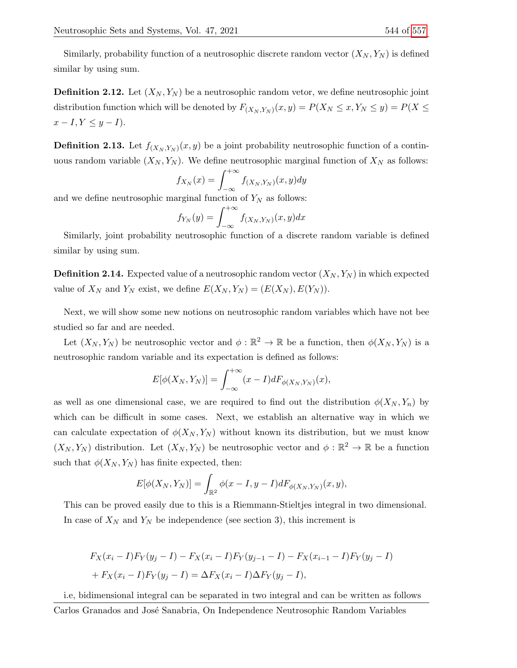Similarly, probability function of a neutrosophic discrete random vector  $(X_N, Y_N)$  is defined similar by using sum.

**Definition 2.12.** Let  $(X_N, Y_N)$  be a neutrosophic random vetor, we define neutrosophic joint distribution function which will be denoted by  $F_{(X_N,Y_N)}(x,y) = P(X_N \leq x, Y_N \leq y) = P(X \leq y)$  $x - I, Y \leq y - I$ .

**Definition 2.13.** Let  $f_{(X_N,Y_N)}(x,y)$  be a joint probability neutrosophic function of a continuous random variable  $(X_N, Y_N)$ . We define neutrosophic marginal function of  $X_N$  as follows:

$$
f_{X_N}(x) = \int_{-\infty}^{+\infty} f_{(X_N, Y_N)}(x, y) dy
$$

and we define neutrosophic marginal function of  $Y_N$  as follows:

$$
f_{Y_N}(y) = \int_{-\infty}^{+\infty} f_{(X_N, Y_N)}(x, y) dx
$$

Similarly, joint probability neutrosophic function of a discrete random variable is defined similar by using sum.

**Definition 2.14.** Expected value of a neutrosophic random vector  $(X_N, Y_N)$  in which expected value of  $X_N$  and  $Y_N$  exist, we define  $E(X_N, Y_N) = (E(X_N), E(Y_N)).$ 

Next, we will show some new notions on neutrosophic random variables which have not bee studied so far and are needed.

Let  $(X_N, Y_N)$  be neutrosophic vector and  $\phi : \mathbb{R}^2 \to \mathbb{R}$  be a function, then  $\phi(X_N, Y_N)$  is a neutrosophic random variable and its expectation is defined as follows:

$$
E[\phi(X_N, Y_N)] = \int_{-\infty}^{+\infty} (x - I) dF_{\phi(X_N, Y_N)}(x),
$$

as well as one dimensional case, we are required to find out the distribution  $\phi(X_N, Y_n)$  by which can be difficult in some cases. Next, we establish an alternative way in which we can calculate expectation of  $\phi(X_N, Y_N)$  without known its distribution, but we must know  $(X_N, Y_N)$  distribution. Let  $(X_N, Y_N)$  be neutrosophic vector and  $\phi : \mathbb{R}^2 \to \mathbb{R}$  be a function such that  $\phi(X_N, Y_N)$  has finite expected, then:

$$
E[\phi(X_N,Y_N)] = \int_{\mathbb{R}^2} \phi(x - I, y - I) dF_{\phi(X_N,Y_N)}(x, y),
$$

This can be proved easily due to this is a Riemmann-Stieltjes integral in two dimensional. In case of  $X_N$  and  $Y_N$  be independence (see section 3), this increment is

$$
F_X(x_i - I)F_Y(y_j - I) - F_X(x_i - I)F_Y(y_{j-1} - I) - F_X(x_{i-1} - I)F_Y(y_j - I)
$$
  
+ 
$$
F_X(x_i - I)F_Y(y_j - I) = \Delta F_X(x_i - I)\Delta F_Y(y_j - I),
$$

i.e, bidimensional integral can be separated in two integral and can be written as follows Carlos Granados and José Sanabria, On Independence Neutrosophic Random Variables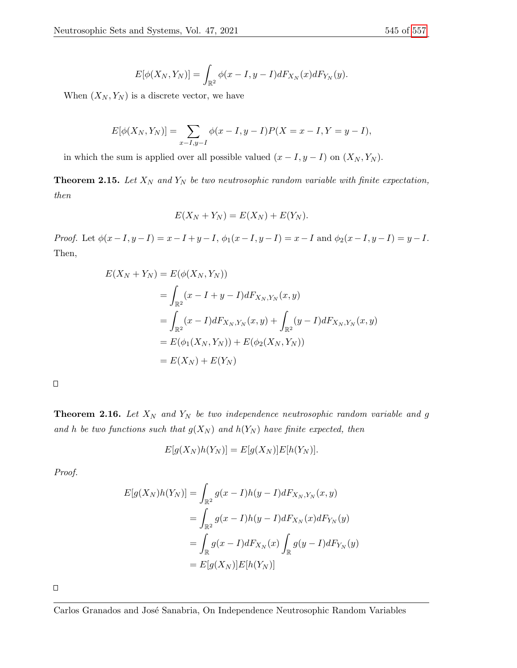$$
E[\phi(X_N,Y_N)] = \int_{\mathbb{R}^2} \phi(x-I, y-I) dF_{X_N}(x) dF_{Y_N}(y).
$$

When  $(X_N, Y_N)$  is a discrete vector, we have

$$
E[\phi(X_N, Y_N)] = \sum_{x-I, y-I} \phi(x-I, y-I)P(X = x-I, Y = y-I),
$$

in which the sum is applied over all possible valued  $(x - I, y - I)$  on  $(X_N, Y_N)$ .

**Theorem 2.15.** Let  $X_N$  and  $Y_N$  be two neutrosophic random variable with finite expectation, then

$$
E(X_N + Y_N) = E(X_N) + E(Y_N).
$$

Proof. Let  $\phi(x-I, y-I) = x-I + y-I$ ,  $\phi_1(x-I, y-I) = x-I$  and  $\phi_2(x-I, y-I) = y-I$ . Then,

$$
E(X_N + Y_N) = E(\phi(X_N, Y_N))
$$
  
= 
$$
\int_{\mathbb{R}^2} (x - I + y - I) dF_{X_N, Y_N}(x, y)
$$
  
= 
$$
\int_{\mathbb{R}^2} (x - I) dF_{X_N, Y_N}(x, y) + \int_{\mathbb{R}^2} (y - I) dF_{X_N, Y_N}(x, y)
$$
  
= 
$$
E(\phi_1(X_N, Y_N)) + E(\phi_2(X_N, Y_N))
$$
  
= 
$$
E(X_N) + E(Y_N)
$$

 $\Box$ 

**Theorem 2.16.** Let  $X_N$  and  $Y_N$  be two independence neutrosophic random variable and g and h be two functions such that  $g(X_N)$  and  $h(Y_N)$  have finite expected, then

 $E[g(X_N)h(Y_N)] = E[g(X_N)]E[h(Y_N)].$ 

Proof.

$$
E[g(X_N)h(Y_N)] = \int_{\mathbb{R}^2} g(x - I)h(y - I)dF_{X_N,Y_N}(x, y)
$$
  
= 
$$
\int_{\mathbb{R}^2} g(x - I)h(y - I)dF_{X_N}(x)dF_{Y_N}(y)
$$
  
= 
$$
\int_{\mathbb{R}} g(x - I)dF_{X_N}(x) \int_{\mathbb{R}} g(y - I)dF_{Y_N}(y)
$$
  
= 
$$
E[g(X_N)]E[h(Y_N)]
$$

 $\Box$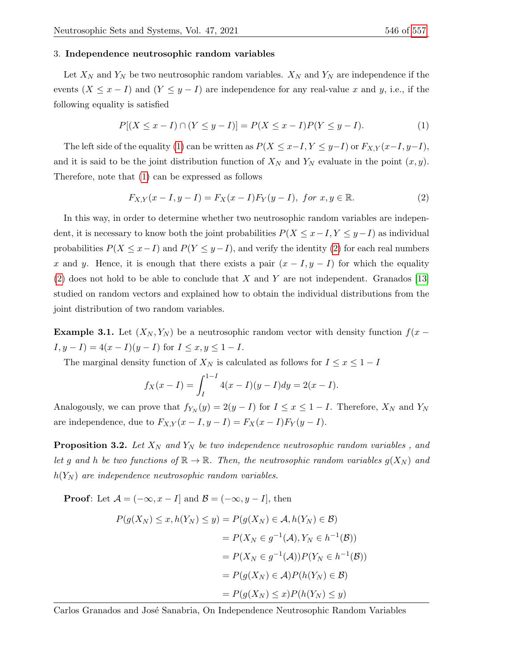## 3. Independence neutrosophic random variables

Let  $X_N$  and  $Y_N$  be two neutrosophic random variables.  $X_N$  and  $Y_N$  are independence if the events  $(X \leq x - I)$  and  $(Y \leq y - I)$  are independence for any real-value x and y, i.e., if the following equality is satisfied

<span id="page-5-0"></span>
$$
P[(X \le x - I) \cap (Y \le y - I)] = P(X \le x - I)P(Y \le y - I). \tag{1}
$$

The left side of the equality [\(1\)](#page-5-0) can be written as  $P(X \leq x-I, Y \leq y-I)$  or  $F_{X,Y}(x-I, y-I)$ , and it is said to be the joint distribution function of  $X_N$  and  $Y_N$  evaluate in the point  $(x, y)$ . Therefore, note that [\(1\)](#page-5-0) can be expressed as follows

<span id="page-5-1"></span>
$$
F_{X,Y}(x - I, y - I) = F_X(x - I)F_Y(y - I), \text{ for } x, y \in \mathbb{R}.
$$
 (2)

In this way, in order to determine whether two neutrosophic random variables are independent, it is necessary to know both the joint probabilities  $P(X \leq x - I, Y \leq y - I)$  as individual probabilities  $P(X \leq x - I)$  and  $P(Y \leq y - I)$ , and verify the identity [\(2\)](#page-5-1) for each real numbers x and y. Hence, it is enough that there exists a pair  $(x - I, y - I)$  for which the equality [\(2\)](#page-5-1) does not hold to be able to conclude that X and Y are not independent. Granados [\[13\]](#page-15-18) studied on random vectors and explained how to obtain the individual distributions from the joint distribution of two random variables.

**Example 3.1.** Let  $(X_N, Y_N)$  be a neutrosophic random vector with density function  $f(x - y)$  $I, y - I$ ) =  $4(x - I)(y - I)$  for  $I \le x, y \le 1 - I$ .

The marginal density function of  $X_N$  is calculated as follows for  $I \leq x \leq 1-I$ 

$$
f_X(x - I) = \int_I^{1 - I} 4(x - I)(y - I) dy = 2(x - I).
$$

Analogously, we can prove that  $f_{Y_N}(y) = 2(y - I)$  for  $I \le x \le 1 - I$ . Therefore,  $X_N$  and  $Y_N$ are independence, due to  $F_{X,Y}(x-I, y-I) = F_X(x-I)F_Y(y-I)$ .

**Proposition 3.2.** Let  $X_N$  and  $Y_N$  be two independence neutrosophic random variables, and let g and h be two functions of  $\mathbb{R} \to \mathbb{R}$ . Then, the neutrosophic random variables  $g(X_N)$  and  $h(Y_N)$  are independence neutrosophic random variables.

**Proof:** Let  $\mathcal{A} = (-\infty, x - I]$  and  $\mathcal{B} = (-\infty, y - I]$ , then

$$
P(g(X_N) \le x, h(Y_N) \le y) = P(g(X_N) \in \mathcal{A}, h(Y_N) \in \mathcal{B})
$$
  
=  $P(X_N \in g^{-1}(\mathcal{A}), Y_N \in h^{-1}(\mathcal{B}))$   
=  $P(X_N \in g^{-1}(\mathcal{A})) P(Y_N \in h^{-1}(\mathcal{B}))$   
=  $P(g(X_N) \in \mathcal{A}) P(h(Y_N) \in \mathcal{B})$   
=  $P(g(X_N) \le x) P(h(Y_N) \le y)$ 

Carlos Granados and José Sanabria, On Independence Neutrosophic Random Variables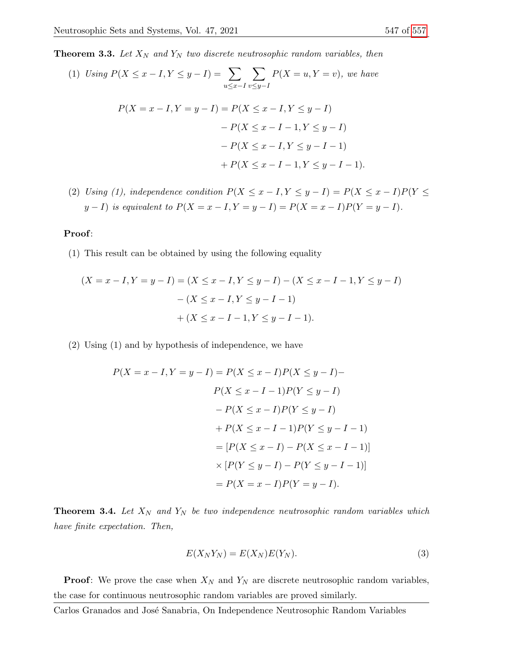**Theorem 3.3.** Let  $X_N$  and  $Y_N$  two discrete neutrosophic random variables, then

(1) Using 
$$
P(X \le x - I, Y \le y - I) = \sum_{u \le x - I} \sum_{v \le y - I} P(X = u, Y = v)
$$
, we have  
\n
$$
P(X = x - I, Y = y - I) = P(X \le x - I, Y \le y - I)
$$
\n
$$
- P(X \le x - I - 1, Y \le y - I)
$$
\n
$$
- P(X \le x - I, Y \le y - I - 1)
$$
\n
$$
+ P(X \le x - I - 1, Y \le y - I - 1).
$$

(2) Using (1), independence condition  $P(X \le x - I, Y \le y - I) = P(X \le x - I)P(Y \le$  $y - I$ ) is equivalent to  $P(X = x - I, Y = y - I) = P(X = x - I)P(Y = y - I)$ .

### Proof:

(1) This result can be obtained by using the following equality

$$
(X = x - I, Y = y - I) = (X \le x - I, Y \le y - I) - (X \le x - I - 1, Y \le y - I)
$$

$$
- (X \le x - I, Y \le y - I - 1)
$$

$$
+ (X \le x - I - 1, Y \le y - I - 1).
$$

(2) Using (1) and by hypothesis of independence, we have

$$
P(X = x - I, Y = y - I) = P(X \le x - I)P(X \le y - I) - P(X \le x - I - 1)P(Y \le y - I) - P(X \le x - I)P(Y \le y - I) + P(X \le x - I - 1)P(Y \le y - I - 1) = [P(X \le x - I) - P(X \le x - I - 1)] \times [P(Y \le y - I) - P(Y \le y - I - 1)] = P(X = x - I)P(Y = y - I).
$$

**Theorem 3.4.** Let  $X_N$  and  $Y_N$  be two independence neutrosophic random variables which have finite expectation. Then,

$$
E(X_N Y_N) = E(X_N)E(Y_N).
$$
\n(3)

**Proof:** We prove the case when  $X_N$  and  $Y_N$  are discrete neutrosophic random variables, the case for continuous neutrosophic random variables are proved similarly.

Carlos Granados and José Sanabria, On Independence Neutrosophic Random Variables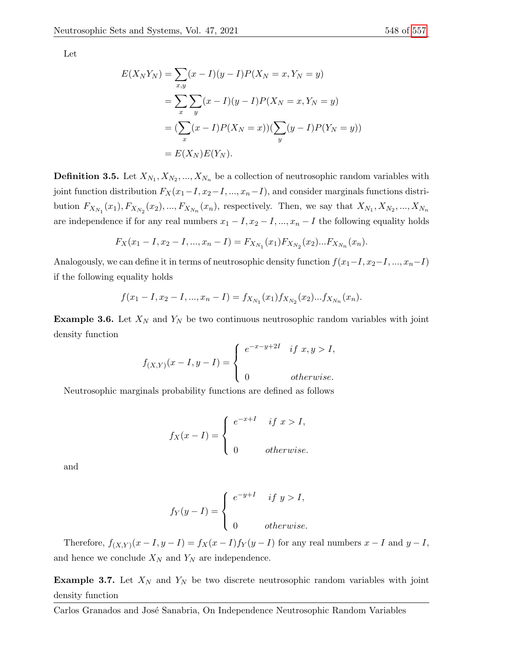Let

$$
E(X_N Y_N) = \sum_{x,y} (x - I)(y - I)P(X_N = x, Y_N = y)
$$
  
= 
$$
\sum_{x} \sum_{y} (x - I)(y - I)P(X_N = x, Y_N = y)
$$
  
= 
$$
(\sum_{x} (x - I)P(X_N = x))(\sum_{y} (y - I)P(Y_N = y))
$$
  
= 
$$
E(X_N)E(Y_N).
$$

**Definition 3.5.** Let  $X_{N_1}, X_{N_2}, ..., X_{N_n}$  be a collection of neutrosophic random variables with joint function distribution  $F_X(x_1-I, x_2-I, ..., x_n-I)$ , and consider marginals functions distribution  $F_{X_{N_1}}(x_1), F_{X_{N_2}}(x_2), ..., F_{X_{N_n}}(x_n)$ , respectively. Then, we say that  $X_{N_1}, X_{N_2}, ..., X_{N_n}$ are independence if for any real numbers  $x_1 - I$ ,  $x_2 - I$ , ...,  $x_n - I$  the following equality holds

$$
F_X(x_1 - I, x_2 - I, ..., x_n - I) = F_{X_{N_1}}(x_1) F_{X_{N_2}}(x_2) ... F_{X_{N_n}}(x_n).
$$

Analogously, we can define it in terms of neutrosophic density function  $f(x_1-I, x_2-I, ..., x_n-I)$ if the following equality holds

$$
f(x_1 - I, x_2 - I, ..., x_n - I) = f_{X_{N_1}}(x_1) f_{X_{N_2}}(x_2) ... f_{X_{N_n}}(x_n).
$$

**Example 3.6.** Let  $X_N$  and  $Y_N$  be two continuous neutrosophic random variables with joint density function

$$
f_{(X,Y)}(x-I, y-I) = \begin{cases} e^{-x-y+2I} & \text{if } x, y > I, \\ 0 & \text{otherwise.} \end{cases}
$$

Neutrosophic marginals probability functions are defined as follows

$$
f_X(x - I) = \begin{cases} e^{-x+I} & \text{if } x > I, \\ 0 & \text{otherwise.} \end{cases}
$$

and

$$
f_Y(y-I) = \begin{cases} e^{-y+I} & \text{if } y > I, \\ 0 & \text{otherwise.} \end{cases}
$$

Therefore,  $f_{(X,Y)}(x-I, y-I) = f_X(x-I) f_Y(y-I)$  for any real numbers  $x-I$  and  $y-I$ , and hence we conclude  $X_N$  and  $Y_N$  are independence.

**Example 3.7.** Let  $X_N$  and  $Y_N$  be two discrete neutrosophic random variables with joint density function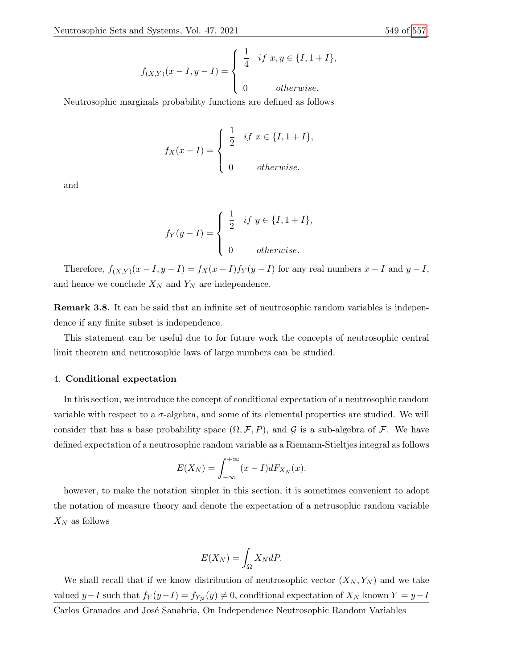$$
f_{(X,Y)}(x - I, y - I) = \begin{cases} \frac{1}{4} & \text{if } x, y \in \{I, 1 + I\}, \\ 0 & \text{otherwise.} \end{cases}
$$

Neutrosophic marginals probability functions are defined as follows

$$
f_X(x - I) = \begin{cases} \frac{1}{2} & \text{if } x \in \{I, 1 + I\}, \\ 0 & \text{otherwise.} \end{cases}
$$

and

$$
f_Y(y-I) = \begin{cases} \frac{1}{2} & \text{if } y \in \{I, 1+I\}, \\ 0 & \text{otherwise.} \end{cases}
$$

Therefore,  $f_{(X,Y)}(x-I, y-I) = f_X(x-I) f_Y(y-I)$  for any real numbers  $x-I$  and  $y-I$ , and hence we conclude  $\mathcal{X}_N$  and  $\mathcal{Y}_N$  are independence.

Remark 3.8. It can be said that an infinite set of neutrosophic random variables is independence if any finite subset is independence.

This statement can be useful due to for future work the concepts of neutrosophic central limit theorem and neutrosophic laws of large numbers can be studied.

## 4. Conditional expectation

In this section, we introduce the concept of conditional expectation of a neutrosophic random variable with respect to a  $\sigma$ -algebra, and some of its elemental properties are studied. We will consider that has a base probability space  $(\Omega, \mathcal{F}, P)$ , and G is a sub-algebra of F. We have defined expectation of a neutrosophic random variable as a Riemann-Stieltjes integral as follows

$$
E(X_N) = \int_{-\infty}^{+\infty} (x - I) dF_{X_N}(x).
$$

however, to make the notation simpler in this section, it is sometimes convenient to adopt the notation of measure theory and denote the expectation of a netrusophic random variable  $X_N$  as follows

$$
E(X_N) = \int_{\Omega} X_N dP.
$$

We shall recall that if we know distribution of neutrosophic vector  $(X_N, Y_N)$  and we take valued y-I such that  $f_Y(y-I) = f_{Y_N}(y) \neq 0$ , conditional expectation of  $X_N$  known  $Y = y-I$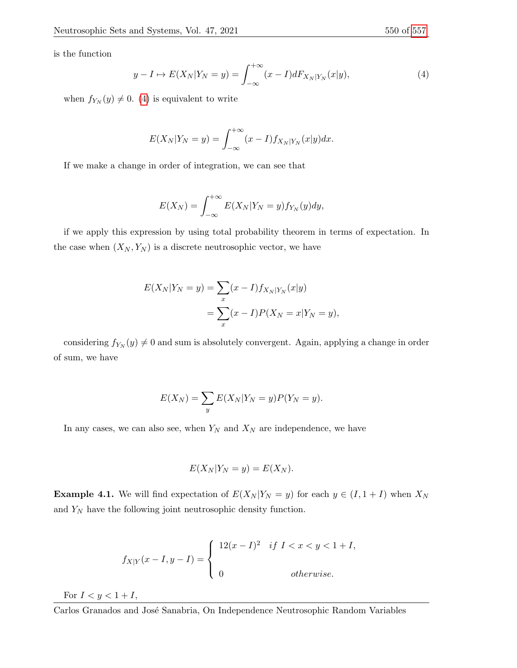is the function

<span id="page-9-0"></span>
$$
y - I \mapsto E(X_N | Y_N = y) = \int_{-\infty}^{+\infty} (x - I) dF_{X_N | Y_N}(x | y), \tag{4}
$$

when  $f_{Y_N}(y) \neq 0$ . [\(4\)](#page-9-0) is equivalent to write

$$
E(X_N|Y_N = y) = \int_{-\infty}^{+\infty} (x - I) f_{X_N|Y_N}(x|y) dx.
$$

If we make a change in order of integration, we can see that

$$
E(X_N) = \int_{-\infty}^{+\infty} E(X_N|Y_N = y) f_{Y_N}(y) dy,
$$

if we apply this expression by using total probability theorem in terms of expectation. In the case when  $(X_N, Y_N)$  is a discrete neutrosophic vector, we have

$$
E(X_N|Y_N = y) = \sum_{x} (x - I) f_{X_N|Y_N}(x|y)
$$
  
= 
$$
\sum_{x} (x - I) P(X_N = x|Y_N = y),
$$

considering  $f_{Y_N}(y) \neq 0$  and sum is absolutely convergent. Again, applying a change in order of sum, we have

$$
E(X_N) = \sum_y E(X_N|Y_N = y)P(Y_N = y).
$$

In any cases, we can also see, when  $Y_N$  and  $X_N$  are independence, we have

$$
E(X_N|Y_N = y) = E(X_N).
$$

**Example 4.1.** We will find expectation of  $E(X_N | Y_N = y)$  for each  $y \in (I, 1 + I)$  when  $X_N$ and  $Y_N$  have the following joint neutrosophic density function.

$$
f_{X|Y}(x-I, y-I) = \begin{cases} 12(x-I)^2 & \text{if } I < x < y < 1+I, \\ 0 & \text{otherwise.} \end{cases}
$$

For  $I < y < 1 + I$ ,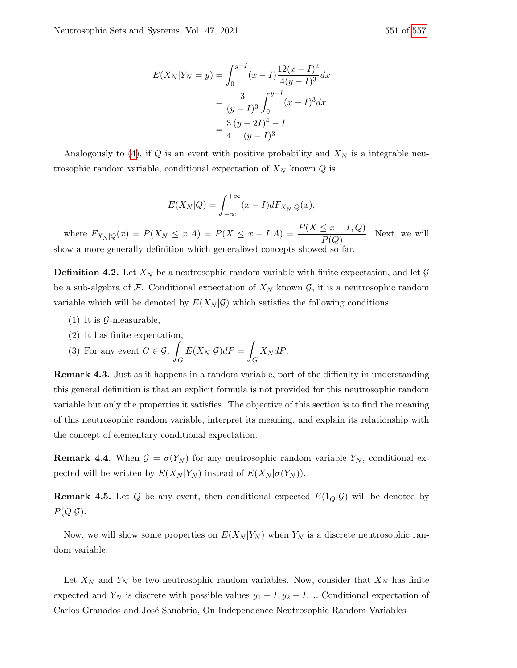$$
E(X_N|Y_N = y) = \int_0^{y-I} (x-I) \frac{12(x-I)^2}{4(y-I)^3} dx
$$
  
= 
$$
\frac{3}{(y-I)^3} \int_0^{y-I} (x-I)^3 dx
$$
  
= 
$$
\frac{3}{4} \frac{(y-2I)^4 - I}{(y-I)^3}
$$

Analogously to [\(4\)](#page-9-0), if Q is an event with positive probability and  $X_N$  is a integrable neutrosophic random variable, conditional expectation of  $X_N$  known  $Q$  is

$$
E(X_N|Q) = \int_{-\infty}^{+\infty} (x - I) dF_{X_N|Q}(x),
$$

where  $F_{X_N|Q}(x) = P(X_N \le x | A) = P(X \le x - I | A) = \frac{P(X \le x - I, Q)}{P(Q)}$ . Next, we will show a more generally definition which generalized concepts showed so far.

**Definition 4.2.** Let  $X_N$  be a neutrosophic random variable with finite expectation, and let  $\mathcal{G}$ be a sub-algebra of F. Conditional expectation of  $X_N$  known  $\mathcal G$ , it is a neutrosophic random variable which will be denoted by  $E(X_N | \mathcal{G})$  which satisfies the following conditions:

- $(1)$  It is  $\mathcal{G}$ -measurable,
- (2) It has finite expectation,

(3) For any event 
$$
G \in \mathcal{G}
$$
,  $\int_G E(X_N|\mathcal{G})dP = \int_G X_N dP$ .

Remark 4.3. Just as it happens in a random variable, part of the difficulty in understanding this general definition is that an explicit formula is not provided for this neutrosophic random variable but only the properties it satisfies. The objective of this section is to find the meaning of this neutrosophic random variable, interpret its meaning, and explain its relationship with the concept of elementary conditional expectation.

**Remark 4.4.** When  $\mathcal{G} = \sigma(Y_N)$  for any neutrosophic random variable  $Y_N$ , conditional expected will be written by  $E(X_N | Y_N)$  instead of  $E(X_N | \sigma(Y_N))$ .

**Remark 4.5.** Let Q be any event, then conditional expected  $E(1_{Q}|\mathcal{G})$  will be denoted by  $P(Q|\mathcal{G})$ .

Now, we will show some properties on  $E(X_N | Y_N)$  when  $Y_N$  is a discrete neutrosophic random variable.

Let  $X_N$  and  $Y_N$  be two neutrosophic random variables. Now, consider that  $X_N$  has finite expected and  $Y_N$  is discrete with possible values  $y_1 - I$ ,  $y_2 - I$ , ... Conditional expectation of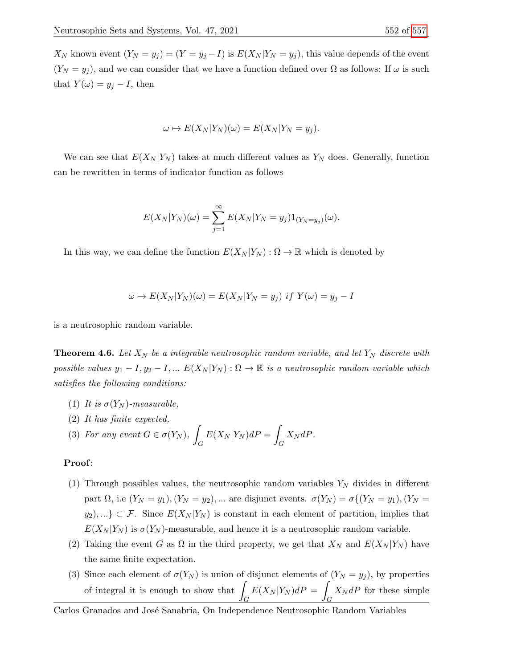$X_N$  known event  $(Y_N = y_j) = (Y = y_j - I)$  is  $E(X_N | Y_N = y_j)$ , this value depends of the event  $(Y_N = y_j)$ , and we can consider that we have a function defined over  $\Omega$  as follows: If  $\omega$  is such that  $Y(\omega) = y_j - I$ , then

$$
\omega \mapsto E(X_N|Y_N)(\omega) = E(X_N|Y_N = y_j).
$$

We can see that  $E(X_N | Y_N)$  takes at much different values as  $Y_N$  does. Generally, function can be rewritten in terms of indicator function as follows

$$
E(X_N|Y_N)(\omega)=\sum_{j=1}^{\infty}E(X_N|Y_N=y_j)1_{(Y_N=y_j)}(\omega).
$$

In this way, we can define the function  $E(X_N | Y_N) : \Omega \to \mathbb{R}$  which is denoted by

$$
\omega \mapsto E(X_N|Y_N)(\omega) = E(X_N|Y_N = y_j) \text{ if } Y(\omega) = y_j - I
$$

is a neutrosophic random variable.

**Theorem 4.6.** Let  $X_N$  be a integrable neutrosophic random variable, and let  $Y_N$  discrete with possible values  $y_1 - I$ ,  $y_2 - I$ , ...  $E(X_N | Y_N) : \Omega \to \mathbb{R}$  is a neutrosophic random variable which satisfies the following conditions:

- (1) It is  $\sigma(Y_N)$ -measurable,
- (2) It has finite expected,

(3) For any event 
$$
G \in \sigma(Y_N)
$$
,  $\int_G E(X_N|Y_N) dP = \int_G X_N dP$ .

# Proof:

- (1) Through possibles values, the neutrosophic random variables  $Y_N$  divides in different part  $\Omega$ , i.e  $(Y_N = y_1)$ ,  $(Y_N = y_2)$ , ... are disjunct events.  $\sigma(Y_N) = \sigma\{(Y_N = y_1), (Y_N = y_2)\}$  $y_2),...\}\subset\mathcal{F}$ . Since  $E(X_N|Y_N)$  is constant in each element of partition, implies that  $E(X_N | Y_N)$  is  $\sigma(Y_N)$ -measurable, and hence it is a neutrosophic random variable.
- (2) Taking the event G as  $\Omega$  in the third property, we get that  $X_N$  and  $E(X_N | Y_N)$  have the same finite expectation.
- (3) Since each element of  $\sigma(Y_N)$  is union of disjunct elements of  $(Y_N = y_j)$ , by properties of integral it is enough to show that  $\int$ G  $E(X_N | Y_N) dP =$ G  $X_N dP$  for these simple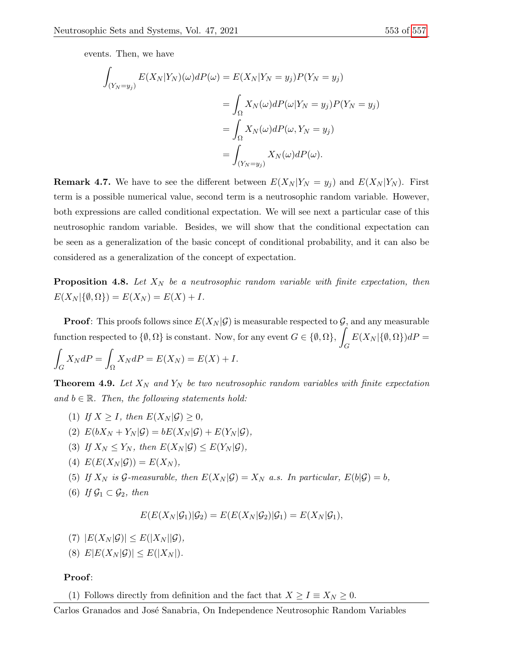events. Then, we have

$$
\int_{(Y_N = y_j)} E(X_N | Y_N)(\omega) dP(\omega) = E(X_N | Y_N = y_j) P(Y_N = y_j)
$$

$$
= \int_{\Omega} X_N(\omega) dP(\omega | Y_N = y_j) P(Y_N = y_j)
$$

$$
= \int_{\Omega} X_N(\omega) dP(\omega, Y_N = y_j)
$$

$$
= \int_{(Y_N = y_j)} X_N(\omega) dP(\omega).
$$

**Remark 4.7.** We have to see the different between  $E(X_N | Y_N = y_j)$  and  $E(X_N | Y_N)$ . First term is a possible numerical value, second term is a neutrosophic random variable. However, both expressions are called conditional expectation. We will see next a particular case of this neutrosophic random variable. Besides, we will show that the conditional expectation can be seen as a generalization of the basic concept of conditional probability, and it can also be considered as a generalization of the concept of expectation.

**Proposition 4.8.** Let  $X_N$  be a neutrosophic random variable with finite expectation, then  $E(X_N | \{\emptyset, \Omega\}) = E(X_N) = E(X) + I.$ 

**Proof:** This proofs follows since  $E(X_N | \mathcal{G})$  is measurable respected to  $\mathcal{G}$ , and any measurable function respected to  $\{\emptyset, \Omega\}$  is constant. Now, for any event  $G \in \{\emptyset, \Omega\},\$ G  $E(X_N | {\emptyset, \Omega})dP =$ 

$$
\int_G X_N dP = \int_{\Omega} X_N dP = E(X_N) = E(X) + I.
$$

**Theorem 4.9.** Let  $X_N$  and  $Y_N$  be two neutrosophic random variables with finite expectation and  $b \in \mathbb{R}$ . Then, the following statements hold:

- (1) If  $X > I$ , then  $E(X_N|\mathcal{G}) > 0$ ,
- (2)  $E(bX_N+Y_N|\mathcal{G})=bE(X_N|\mathcal{G})+E(Y_N|\mathcal{G}),$
- (3) If  $X_N \le Y_N$ , then  $E(X_N|\mathcal{G}) \le E(Y_N|\mathcal{G})$ ,
- (4)  $E(E(X_N|\mathcal{G})) = E(X_N),$
- (5) If  $X_N$  is  $\mathcal G$ -measurable, then  $E(X_N|\mathcal G)=X_N$  a.s. In particular,  $E(b|\mathcal G)=b$ ,
- (6) If  $\mathcal{G}_1 \subset \mathcal{G}_2$ , then

$$
E(E(X_N|\mathcal{G}_1)|\mathcal{G}_2) = E(E(X_N|\mathcal{G}_2)|\mathcal{G}_1) = E(X_N|\mathcal{G}_1),
$$

- (7)  $|E(X_N|\mathcal{G})| \leq E(|X_N||\mathcal{G}),$
- (8)  $E|E(X_N|\mathcal{G})| \leq E(|X_N|).$

# Proof:

(1) Follows directly from definition and the fact that  $X \ge I \equiv X_N \ge 0$ .

Carlos Granados and José Sanabria, On Independence Neutrosophic Random Variables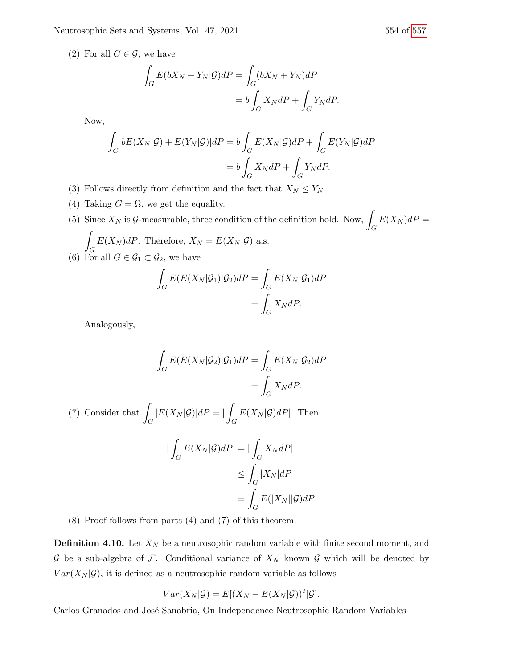(2) For all  $G \in \mathcal{G}$ , we have

$$
\int_{G} E(bX_N + Y_N | \mathcal{G})dP = \int_{G} (bX_N + Y_N)dP
$$

$$
= b \int_{G} X_N dP + \int_{G} Y_N dP.
$$

Now,

$$
\int_{G} [bE(X_{N}|\mathcal{G}) + E(Y_{N}|\mathcal{G})]dP = b \int_{G} E(X_{N}|\mathcal{G})dP + \int_{G} E(Y_{N}|\mathcal{G})dP
$$

$$
= b \int_{G} X_{N}dP + \int_{G} Y_{N}dP.
$$

- (3) Follows directly from definition and the fact that  $X_N \leq Y_N$ .
- (4) Taking  $G = \Omega$ , we get the equality.
- (5) Since  $X_N$  is  $\mathcal{G}$ -measurable, three condition of the definition hold. Now, G  $E(X_N) dP =$ Z

$$
\int_G E(X_N) dP.
$$
 Therefore,  $X_N = E(X_N | \mathcal{G})$  a.s.  
(6) For all  $G \in \mathcal{G}_1 \subset \mathcal{G}_2$ , we have

$$
\int_{G} E(E(X_N|\mathcal{G}_1)|\mathcal{G}_2)dP = \int_{G} E(X_N|\mathcal{G}_1)dP
$$

$$
= \int_{G} X_N dP.
$$

Analogously,

$$
\int_{G} E(E(X_N | \mathcal{G}_2) | \mathcal{G}_1) dP = \int_{G} E(X_N | \mathcal{G}_2) dP
$$

$$
= \int_{G} X_N dP.
$$

(7) Consider that  $\int$ G  $|E(X_N|\mathcal{G})|dP=|$ G  $E(X_N|\mathcal{G})dP$ . Then,

$$
\begin{aligned} |\int_G E(X_N|\mathcal{G})dP| &= |\int_G X_N dP| \\ &\le \int_G |X_N|dP \\ &= \int_G E(|X_N||\mathcal{G})dP. \end{aligned}
$$

(8) Proof follows from parts (4) and (7) of this theorem.

**Definition 4.10.** Let  $X_N$  be a neutrosophic random variable with finite second moment, and  $G$  be a sub-algebra of  $F$ . Conditional variance of  $X_N$  known  $G$  which will be denoted by  $Var(X_N|\mathcal{G})$ , it is defined as a neutrosophic random variable as follows

$$
Var(X_N|\mathcal{G}) = E[(X_N - E(X_N|\mathcal{G}))^2|\mathcal{G}].
$$

Carlos Granados and José Sanabria, On Independence Neutrosophic Random Variables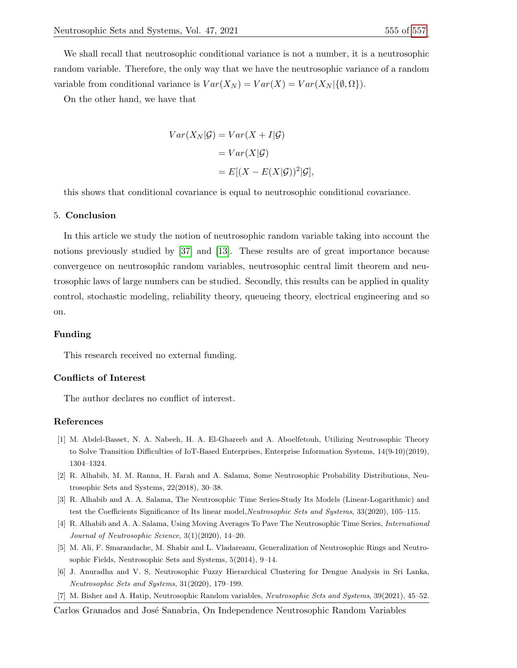We shall recall that neutrosophic conditional variance is not a number, it is a neutrosophic random variable. Therefore, the only way that we have the neutrosophic variance of a random variable from conditional variance is  $Var(X_N) = Var(X) = Var(X_N | {\emptyset, \Omega} ).$ 

On the other hand, we have that

$$
Var(X_N|\mathcal{G}) = Var(X + I|\mathcal{G})
$$

$$
= Var(X|\mathcal{G})
$$

$$
= E[(X - E(X|\mathcal{G}))^2|\mathcal{G}],
$$

this shows that conditional covariance is equal to neutrosophic conditional covariance.

#### 5. Conclusion

In this article we study the notion of neutrosophic random variable taking into account the notions previously studied by [\[37\]](#page-14-5) and [\[13\]](#page-15-18). These results are of great importance because convergence on neutrosophic random variables, neutrosophic central limit theorem and neutrosophic laws of large numbers can be studied. Secondly, this results can be applied in quality control, stochastic modeling, reliability theory, queueing theory, electrical engineering and so on.

#### Funding

This research received no external funding.

#### Conflicts of Interest

The author declares no conflict of interest.

## References

- <span id="page-14-4"></span>[1] M. Abdel-Basset, N. A. Nabeeh, H. A. El-Ghareeb and A. Aboelfetouh, Utilizing Neutrosophic Theory to Solve Transition Difficulties of IoT-Based Enterprises, Enterprise Information Systems, 14(9-10)(2019), 1304–1324.
- <span id="page-14-0"></span>[2] R. Alhabib, M. M. Ranna, H. Farah and A. Salama, Some Neutrosophic Probability Distributions, Neutrosophic Sets and Systems, 22(2018), 30–38.
- <span id="page-14-1"></span>[3] R. Alhabib and A. A. Salama, The Neutrosophic Time Series-Study Its Models (Linear-Logarithmic) and test the Coefficients Significance of Its linear model, Neutrosophic Sets and Systems, 33(2020), 105–115.
- <span id="page-14-2"></span>[4] R. Alhabib and A. A. Salama, Using Moving Averages To Pave The Neutrosophic Time Series, International Journal of Neutrosophic Science, 3(1)(2020), 14–20.
- <span id="page-14-6"></span>[5] M. Ali, F. Smarandache, M. Shabir and L. Vladareanu, Generalization of Neutrosophic Rings and Neutrosophic Fields, Neutrosophic Sets and Systems, 5(2014), 9–14.
- <span id="page-14-3"></span>[6] J. Anuradha and V. S, Neutrosophic Fuzzy Hierarchical Clustering for Dengue Analysis in Sri Lanka, Neutrosophic Sets and Systems, 31(2020), 179–199.
- <span id="page-14-5"></span>[7] M. Bisher and A. Hatip, Neutrosophic Random variables, Neutrosophic Sets and Systems, 39(2021), 45–52.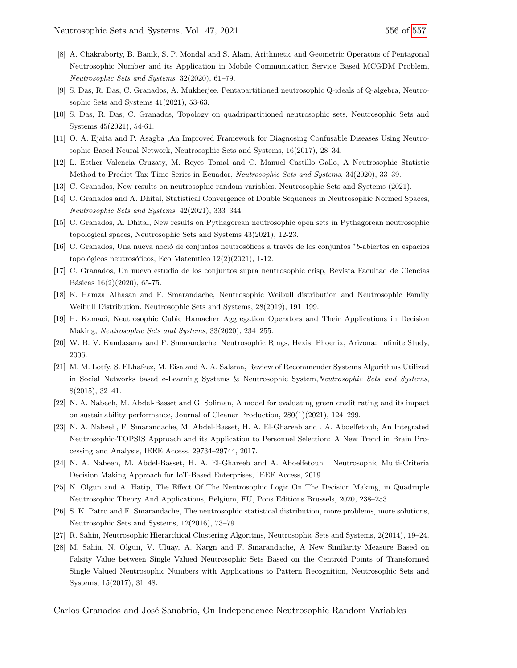- <span id="page-15-8"></span>[8] A. Chakraborty, B. Banik, S. P. Mondal and S. Alam, Arithmetic and Geometric Operators of Pentagonal Neutrosophic Number and its Application in Mobile Communication Service Based MCGDM Problem, Neutrosophic Sets and Systems, 32(2020), 61–79.
- <span id="page-15-15"></span>[9] S. Das, R. Das, C. Granados, A. Mukherjee, Pentapartitioned neutrosophic Q-ideals of Q-algebra, Neutrosophic Sets and Systems 41(2021), 53-63.
- <span id="page-15-16"></span>[10] S. Das, R. Das, C. Granados, Topology on quadripartitioned neutrosophic sets, Neutrosophic Sets and Systems 45(2021), 54-61.
- <span id="page-15-7"></span>[11] O. A. Ejaita and P. Asagba ,An Improved Framework for Diagnosing Confusable Diseases Using Neutrosophic Based Neural Network, Neutrosophic Sets and Systems, 16(2017), 28–34.
- <span id="page-15-2"></span>[12] L. Esther Valencia Cruzaty, M. Reyes Tomal and C. Manuel Castillo Gallo, A Neutrosophic Statistic Method to Predict Tax Time Series in Ecuador, Neutrosophic Sets and Systems, 34(2020), 33–39.
- <span id="page-15-18"></span>[13] C. Granados, New results on neutrosophic random variables. Neutrosophic Sets and Systems (2021).
- <span id="page-15-11"></span>[14] C. Granados and A. Dhital, Statistical Convergence of Double Sequences in Neutrosophic Normed Spaces, Neutrosophic Sets and Systems, 42(2021), 333–344.
- [15] C. Granados, A. Dhital, New results on Pythagorean neutrosophic open sets in Pythagorean neutrosophic topological spaces, Neutrosophic Sets and Systems 43(2021), 12-23.
- [16] C. Granados, Una nueva noció de conjuntos neutrosóficos a través de los conjuntos \*b-abiertos en espacios topológicos neutrosóficos, Eco Matemtico  $12(2)(2021)$ , 1-12.
- <span id="page-15-17"></span>[17] C. Granados, Un nuevo estudio de los conjuntos supra neutrosophic crisp, Revista Facultad de Ciencias Básicas  $16(2)(2020)$ , 65-75.
- <span id="page-15-0"></span>[18] K. Hamza Alhasan and F. Smarandache, Neutrosophic Weibull distribution and Neutrosophic Family Weibull Distribution, Neutrosophic Sets and Systems, 28(2019), 191–199.
- <span id="page-15-4"></span>[19] H. Kamaci, Neutrosophic Cubic Hamacher Aggregation Operators and Their Applications in Decision Making, Neutrosophic Sets and Systems, 33(2020), 234–255.
- <span id="page-15-3"></span>[20] W. B. V. Kandasamy and F. Smarandache, Neutrosophic Rings, Hexis, Phoenix, Arizona: Infinite Study, 2006.
- <span id="page-15-10"></span>[21] M. M. Lotfy, S. ELhafeez, M. Eisa and A. A. Salama, Review of Recommender Systems Algorithms Utilized in Social Networks based e-Learning Systems & Neutrosophic System,Neutrosophic Sets and Systems, 8(2015), 32–41.
- <span id="page-15-12"></span>[22] N. A. Nabeeh, M. Abdel-Basset and G. Soliman, A model for evaluating green credit rating and its impact on sustainability performance, Journal of Cleaner Production, 280(1)(2021), 124–299.
- <span id="page-15-13"></span>[23] N. A. Nabeeh, F. Smarandache, M. Abdel-Basset, H. A. El-Ghareeb and . A. Aboelfetouh, An Integrated Neutrosophic-TOPSIS Approach and its Application to Personnel Selection: A New Trend in Brain Processing and Analysis, IEEE Access, 29734–29744, 2017.
- <span id="page-15-14"></span>[24] N. A. Nabeeh, M. Abdel-Basset, H. A. El-Ghareeb and A. Aboelfetouh , Neutrosophic Multi-Criteria Decision Making Approach for IoT-Based Enterprises, IEEE Access, 2019.
- <span id="page-15-5"></span>[25] N. Olgun and A. Hatip, The Effect Of The Neutrosophic Logic On The Decision Making, in Quadruple Neutrosophic Theory And Applications, Belgium, EU, Pons Editions Brussels, 2020, 238–253.
- <span id="page-15-1"></span>[26] S. K. Patro and F. Smarandache, The neutrosophic statistical distribution, more problems, more solutions, Neutrosophic Sets and Systems, 12(2016), 73–79.
- <span id="page-15-6"></span>[27] R. Sahin, Neutrosophic Hierarchical Clustering Algoritms, Neutrosophic Sets and Systems, 2(2014), 19–24.
- <span id="page-15-9"></span>[28] M. Sahin, N. Olgun, V. Uluay, A. Kargn and F. Smarandache, A New Similarity Measure Based on Falsity Value between Single Valued Neutrosophic Sets Based on the Centroid Points of Transformed Single Valued Neutrosophic Numbers with Applications to Pattern Recognition, Neutrosophic Sets and Systems, 15(2017), 31–48.